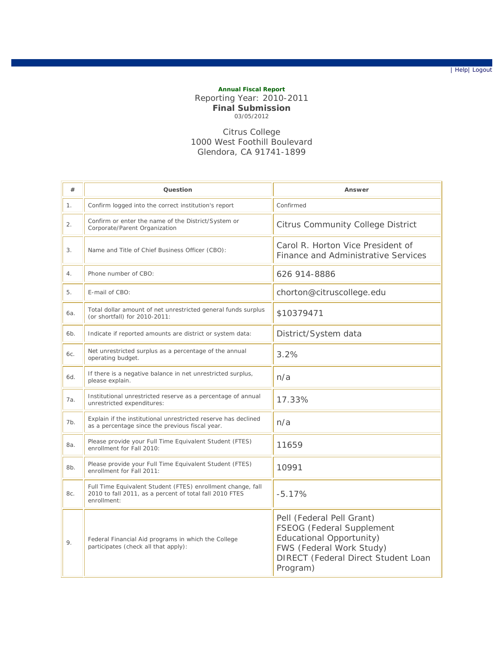| Help| Logout

## **Annual Fiscal Report** Reporting Year: 2010-2011 **Final Submission** 03/05/2012

## Citrus College 1000 West Foothill Boulevard Glendora, CA 91741-1899

| #   | Question                                                                                                                              | Answer                                                                                                                                                            |
|-----|---------------------------------------------------------------------------------------------------------------------------------------|-------------------------------------------------------------------------------------------------------------------------------------------------------------------|
| 1.  | Confirm logged into the correct institution's report                                                                                  | Confirmed                                                                                                                                                         |
| 2.  | Confirm or enter the name of the District/System or<br>Corporate/Parent Organization                                                  | <b>Citrus Community College District</b>                                                                                                                          |
| 3.  | Name and Title of Chief Business Officer (CBO):                                                                                       | Carol R. Horton Vice President of<br>Finance and Administrative Services                                                                                          |
| 4.  | Phone number of CBO:                                                                                                                  | 626 914-8886                                                                                                                                                      |
| 5.  | E-mail of CBO:                                                                                                                        | chorton@citruscollege.edu                                                                                                                                         |
| 6a. | Total dollar amount of net unrestricted general funds surplus<br>(or shortfall) for 2010-2011:                                        | \$10379471                                                                                                                                                        |
| 6b. | Indicate if reported amounts are district or system data:                                                                             | District/System data                                                                                                                                              |
| 6c. | Net unrestricted surplus as a percentage of the annual<br>operating budget.                                                           | 3.2%                                                                                                                                                              |
| 6d. | If there is a negative balance in net unrestricted surplus,<br>please explain.                                                        | n/a                                                                                                                                                               |
| 7a. | Institutional unrestricted reserve as a percentage of annual<br>unrestricted expenditures:                                            | 17.33%                                                                                                                                                            |
| 7b. | Explain if the institutional unrestricted reserve has declined<br>as a percentage since the previous fiscal year.                     | n/a                                                                                                                                                               |
| 8a. | Please provide your Full Time Equivalent Student (FTES)<br>enrollment for Fall 2010:                                                  | 11659                                                                                                                                                             |
| 8b. | Please provide your Full Time Equivalent Student (FTES)<br>enrollment for Fall 2011:                                                  | 10991                                                                                                                                                             |
| 8c. | Full Time Equivalent Student (FTES) enrollment change, fall<br>2010 to fall 2011, as a percent of total fall 2010 FTES<br>enrollment: | $-5.17%$                                                                                                                                                          |
| 9.  | Federal Financial Aid programs in which the College<br>participates (check all that apply):                                           | Pell (Federal Pell Grant)<br>FSEOG (Federal Supplement<br>Educational Opportunity)<br>FWS (Federal Work Study)<br>DIRECT (Federal Direct Student Loan<br>Program) |